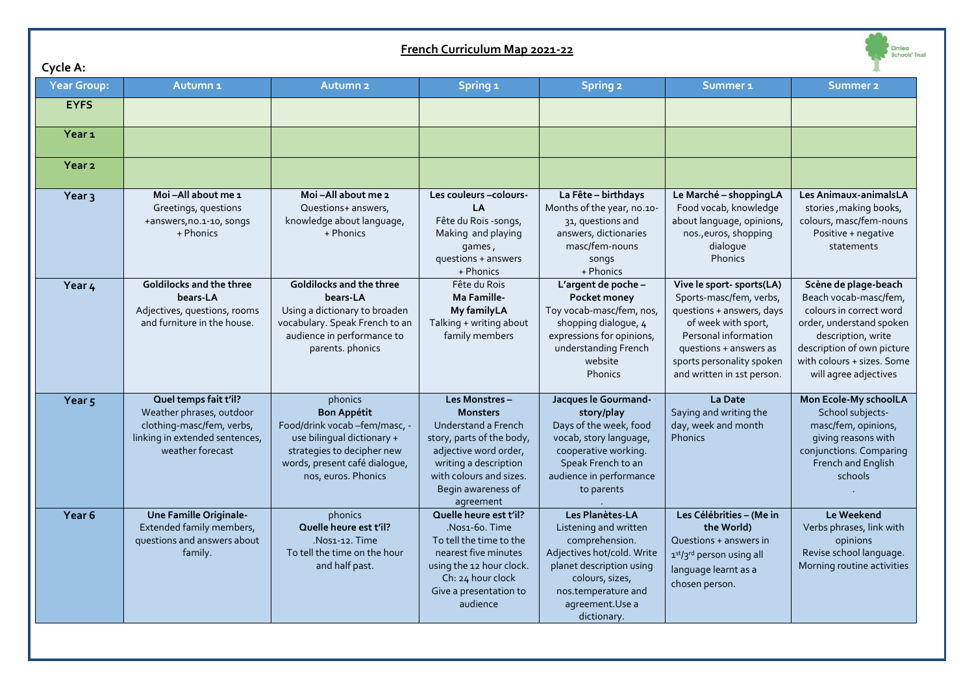| French Curriculum Map 2021-22 |                                                                                                                                      |                                                                                                                                                                                    |                                                                                                                                                                                                      |                                                                                                                                                                                                   |                                                                                                                                                                                                                       |                                                                                                                                                                                                                 |  |  |  |  |
|-------------------------------|--------------------------------------------------------------------------------------------------------------------------------------|------------------------------------------------------------------------------------------------------------------------------------------------------------------------------------|------------------------------------------------------------------------------------------------------------------------------------------------------------------------------------------------------|---------------------------------------------------------------------------------------------------------------------------------------------------------------------------------------------------|-----------------------------------------------------------------------------------------------------------------------------------------------------------------------------------------------------------------------|-----------------------------------------------------------------------------------------------------------------------------------------------------------------------------------------------------------------|--|--|--|--|
| Cycle A:                      |                                                                                                                                      |                                                                                                                                                                                    |                                                                                                                                                                                                      |                                                                                                                                                                                                   |                                                                                                                                                                                                                       |                                                                                                                                                                                                                 |  |  |  |  |
| <b>Year Group:</b>            | Autumn <sub>1</sub>                                                                                                                  | <b>Autumn 2</b>                                                                                                                                                                    | Spring <sub>1</sub>                                                                                                                                                                                  | <b>Spring 2</b>                                                                                                                                                                                   | Summer <sub>1</sub>                                                                                                                                                                                                   | Summer <sub>2</sub>                                                                                                                                                                                             |  |  |  |  |
| <b>EYFS</b>                   |                                                                                                                                      |                                                                                                                                                                                    |                                                                                                                                                                                                      |                                                                                                                                                                                                   |                                                                                                                                                                                                                       |                                                                                                                                                                                                                 |  |  |  |  |
| Year <sub>1</sub>             |                                                                                                                                      |                                                                                                                                                                                    |                                                                                                                                                                                                      |                                                                                                                                                                                                   |                                                                                                                                                                                                                       |                                                                                                                                                                                                                 |  |  |  |  |
| Year <sub>2</sub>             |                                                                                                                                      |                                                                                                                                                                                    |                                                                                                                                                                                                      |                                                                                                                                                                                                   |                                                                                                                                                                                                                       |                                                                                                                                                                                                                 |  |  |  |  |
| Year <sub>3</sub>             | Moi-All about me 1<br>Greetings, questions<br>+answers, no.1-10, songs<br>+ Phonics                                                  | Moi-All about me 2<br>Questions+ answers,<br>knowledge about language,<br>+ Phonics                                                                                                | Les couleurs - colours-<br>LA<br>Fête du Rois -songs,<br>Making and playing<br>games,<br>questions + answers<br>+ Phonics                                                                            | La Fête - birthdays<br>Months of the year, no.10-<br>31, questions and<br>answers, dictionaries<br>masc/fem-nouns<br>songs<br>+ Phonics                                                           | Le Marché - shoppingLA<br>Food vocab, knowledge<br>about language, opinions,<br>nos., euros, shopping<br>dialogue<br><b>Phonics</b>                                                                                   | Les Animaux-animalsLA<br>stories, making books,<br>colours, masc/fem-nouns<br>Positive + negative<br>statements                                                                                                 |  |  |  |  |
| Year 4                        | Goldilocks and the three<br>bears-LA<br>Adjectives, questions, rooms<br>and furniture in the house.                                  | Goldilocks and the three<br>bears-LA<br>Using a dictionary to broaden<br>vocabulary. Speak French to an<br>audience in performance to<br>parents. phonics                          | Fête du Rois<br>Ma Famille-<br><b>My familyLA</b><br>Talking + writing about<br>family members                                                                                                       | L'argent de poche -<br>Pocket money<br>Toy vocab-masc/fem, nos,<br>shopping dialogue, 4<br>expressions for opinions,<br>understanding French<br>website<br>Phonics                                | Vive le sport- sports(LA)<br>Sports-masc/fem, verbs,<br>questions + answers, days<br>of week with sport,<br>Personal information<br>questions + answers as<br>sports personality spoken<br>and written in 1st person. | Scène de plage-beach<br>Beach vocab-masc/fem,<br>colours in correct word<br>order, understand spoken<br>description, write<br>description of own picture<br>with colours + sizes. Some<br>will agree adjectives |  |  |  |  |
| Year <sub>5</sub>             | Quel temps fait t'il?<br>Weather phrases, outdoor<br>clothing-masc/fem, verbs,<br>linking in extended sentences,<br>weather forecast | phonics<br><b>Bon Appétit</b><br>Food/drink vocab -fem/masc, -<br>use bilingual dictionary +<br>strategies to decipher new<br>words, present café dialogue,<br>nos, euros. Phonics | Les Monstres-<br><b>Monsters</b><br>Understand a French<br>story, parts of the body,<br>adjective word order,<br>writing a description<br>with colours and sizes.<br>Begin awareness of<br>agreement | Jacques le Gourmand-<br>story/play<br>Days of the week, food<br>vocab, story language,<br>cooperative working.<br>Speak French to an<br>audience in performance<br>to parents                     | La Date<br>Saying and writing the<br>day, week and month<br><b>Phonics</b>                                                                                                                                            | Mon Ecole-My schoolLA<br>School subjects-<br>masc/fem, opinions,<br>giving reasons with<br>conjunctions. Comparing<br>French and English<br>schools                                                             |  |  |  |  |
| Year <sub>6</sub>             | <b>Une Famille Originale-</b><br>Extended family members,<br>questions and answers about<br>family.                                  | phonics<br>Quelle heure est t'il?<br>.Nos1-12. Time<br>To tell the time on the hour<br>and half past.                                                                              | Quelle heure est t'il?<br>Nos1-60. Time<br>To tell the time to the<br>nearest five minutes<br>using the 12 hour clock.<br>Ch: 24 hour clock<br>Give a presentation to<br>audience                    | Les Planètes-LA<br>Listening and written<br>comprehension.<br>Adjectives hot/cold. Write<br>planet description using<br>colours, sizes,<br>nos.temperature and<br>agreement. Use a<br>dictionary. | Les Célébrities - (Me in<br>the World)<br>Questions + answers in<br>1st/3rd person using all<br>language learnt as a<br>chosen person.                                                                                | Le Weekend<br>Verbs phrases, link with<br>opinions<br>Revise school language.<br>Morning routine activities                                                                                                     |  |  |  |  |

 $\sim$